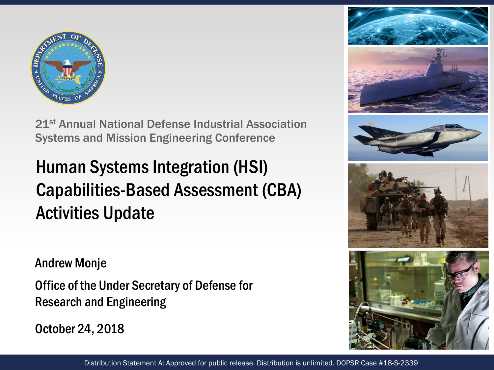

21st Annual National Defense Industrial Association Systems and Mission Engineering Conference

### Human Systems Integration (HSI) Capabilities-Based Assessment (CBA) Activities Update

Andrew Monje

Office of the Under Secretary of Defense for Research and Engineering

October 24, 2018





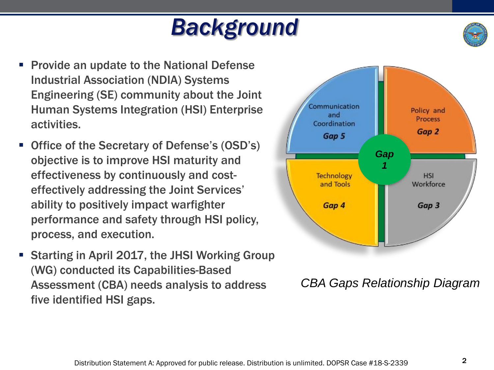## *Background*



- Provide an update to the National Defense Industrial Association (NDIA) Systems Engineering (SE) community about the Joint Human Systems Integration (HSI) Enterprise activities.
- Office of the Secretary of Defense's (OSD's) objective is to improve HSI maturity and effectiveness by continuously and costeffectively addressing the Joint Services' ability to positively impact warfighter performance and safety through HSI policy, process, and execution.
- Starting in April 2017, the JHSI Working Group (WG) conducted its Capabilities-Based Assessment (CBA) needs analysis to address five identified HSI gaps.



*CBA Gaps Relationship Diagram*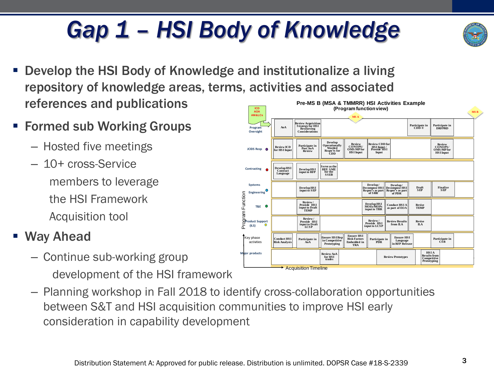#### Distribution Statement A: Approved for public release. Distribution is unlimited. DOPSR Case #18-S-2339

## *Gap 1 – HSI Body of Knowledge*

- Develop the HSI Body of Knowledge and institutionalize a living repository of knowledge areas, terms, activities and associated references and publications **(Program function view) ICD**
- **Formed sub Working Groups** 
	- Hosted five meetings
	- 10+ cross-Service members to leverage the HSI Framework Acquisition tool

#### ■ Way Ahead

- Continue sub-working group development of the HSI framework
- Planning workshop in Fall 2018 to identify cross-collaboration opportunities between S&T and HSI acquisition communities to improve HSI early consideration in capability development



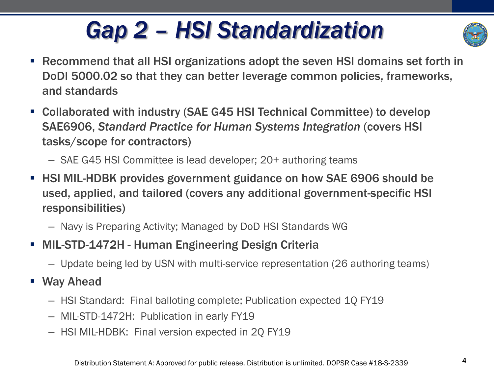## *Gap 2 – HSI Standardization*



- Recommend that all HSI organizations adopt the seven HSI domains set forth in DoDI 5000.02 so that they can better leverage common policies, frameworks, and standards
- Collaborated with industry (SAE G45 HSI Technical Committee) to develop SAE6906, *Standard Practice for Human Systems Integration* (covers HSI tasks/scope for contractors)
	- SAE G45 HSI Committee is lead developer; 20+ authoring teams
- **EXTERMIL-HDBK provides government guidance on how SAE 6906 should be** used, applied, and tailored (covers any additional government-specific HSI responsibilities)
	- Navy is Preparing Activity; Managed by DoD HSI Standards WG
- **MIL-STD-1472H Human Engineering Design Criteria** 
	- Update being led by USN with multi-service representation (26 authoring teams)
- Way Ahead
	- HSI Standard: Final balloting complete; Publication expected 1Q FY19
	- MIL-STD-1472H: Publication in early FY19
	- HSI MIL-HDBK: Final version expected in 2Q FY19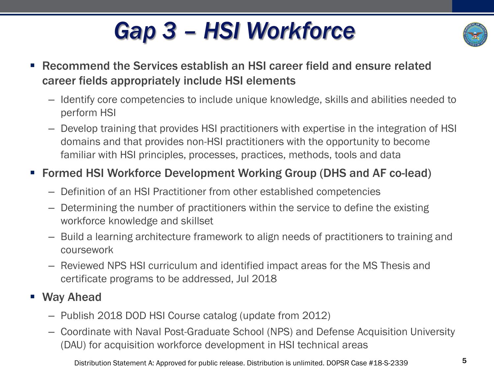## *Gap 3 – HSI Workforce*



- Recommend the Services establish an HSI career field and ensure related career fields appropriately include HSI elements
	- Identify core competencies to include unique knowledge, skills and abilities needed to perform HSI
	- Develop training that provides HSI practitioners with expertise in the integration of HSI domains and that provides non-HSI practitioners with the opportunity to become familiar with HSI principles, processes, practices, methods, tools and data

#### ■ Formed HSI Workforce Development Working Group (DHS and AF co-lead)

- Definition of an HSI Practitioner from other established competencies
- Determining the number of practitioners within the service to define the existing workforce knowledge and skillset
- Build a learning architecture framework to align needs of practitioners to training and coursework
- Reviewed NPS HSI curriculum and identified impact areas for the MS Thesis and certificate programs to be addressed, Jul 2018

#### ■ Way Ahead

- Publish 2018 DOD HSI Course catalog (update from 2012)
- Coordinate with Naval Post-Graduate School (NPS) and Defense Acquisition University (DAU) for acquisition workforce development in HSI technical areas

Distribution Statement A: Approved for public release. Distribution is unlimited. DOPSR Case #18-S-2339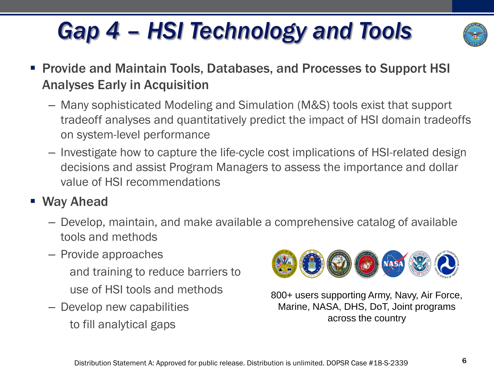# *Gap 4 – HSI Technology and Tools*



- Provide and Maintain Tools, Databases, and Processes to Support HSI Analyses Early in Acquisition
	- Many sophisticated Modeling and Simulation (M&S) tools exist that support tradeoff analyses and quantitatively predict the impact of HSI domain tradeoffs on system-level performance
	- Investigate how to capture the life-cycle cost implications of HSI-related design decisions and assist Program Managers to assess the importance and dollar value of HSI recommendations

### ■ Way Ahead

- Develop, maintain, and make available a comprehensive catalog of available tools and methods
- Provide approaches and training to reduce barriers to
	- use of HSI tools and methods
- Develop new capabilities to fill analytical gaps



800+ users supporting Army, Navy, Air Force, Marine, NASA, DHS, DoT, Joint programs across the country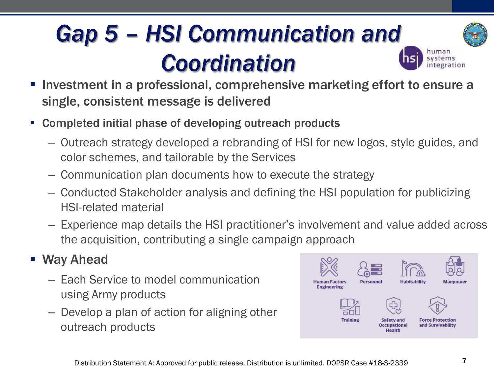## *Gap 5 – HSI Communication and Coordination*



- Investment in a professional, comprehensive marketing effort to ensure a single, consistent message is delivered
- Completed initial phase of developing outreach products
	- Outreach strategy developed a rebranding of HSI for new logos, style guides, and color schemes, and tailorable by the Services
	- Communication plan documents how to execute the strategy
	- Conducted Stakeholder analysis and defining the HSI population for publicizing HSI-related material
	- Experience map details the HSI practitioner's involvement and value added across the acquisition, contributing a single campaign approach

### ■ Way Ahead

- Each Service to model communication plan and plan and plan and plan and plan and plan and personnel using Army products
- Develop a plan of action for aligning other Training safetyand Force Protection outreach products

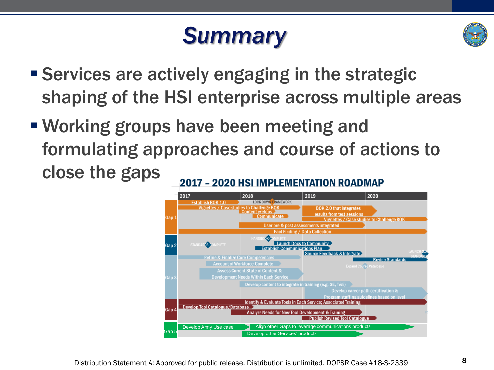## *Summary*



- **Exervices are actively engaging in the strategic** shaping of the HSI enterprise across multiple areas
- Working groups have been meeting and formulating approaches and course of actions to close the gaps 2017 - 2020 HSI IMPLEMENTATION ROADMAP

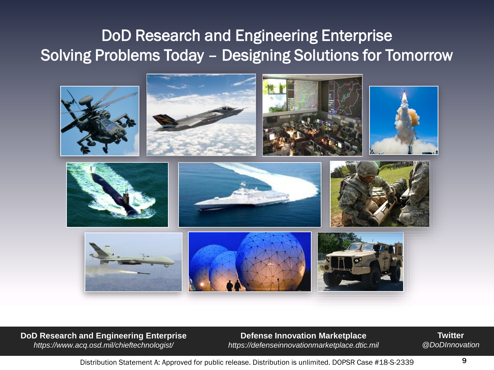### DoD Research and Engineering Enterprise Solving Problems Today – Designing Solutions for Tomorrow



**DoD Research and Engineering Enterprise**  *https://www.acq.osd.mil/chieftechnologist/*

**Defense Innovation Marketplace** *https://defenseinnovationmarketplace.dtic.mil*

**Twitter** *@DoDInnovation*